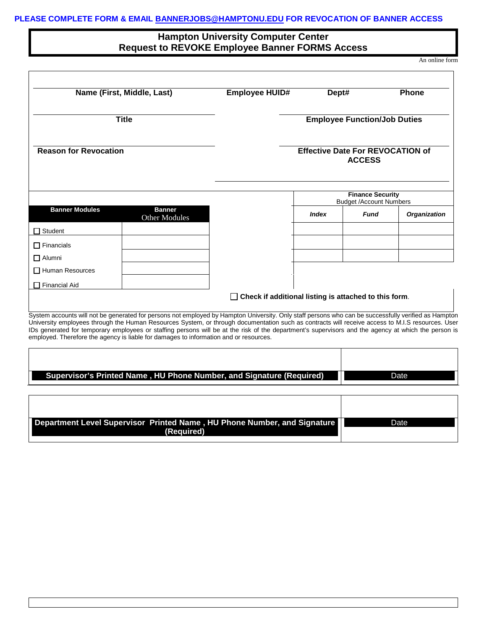## **Hampton University Computer Center Request to REVOKE Employee Banner FORMS Access**

An online form

| Name (First, Middle, Last)<br><b>Title</b> |                                                                                                                                                                                                                                                                                                                                                                                                                                                                                                                                                          | <b>Employee HUID#</b>                                 | Dept#                                                    |                                                           | <b>Phone</b>        |
|--------------------------------------------|----------------------------------------------------------------------------------------------------------------------------------------------------------------------------------------------------------------------------------------------------------------------------------------------------------------------------------------------------------------------------------------------------------------------------------------------------------------------------------------------------------------------------------------------------------|-------------------------------------------------------|----------------------------------------------------------|-----------------------------------------------------------|---------------------|
|                                            |                                                                                                                                                                                                                                                                                                                                                                                                                                                                                                                                                          |                                                       | <b>Employee Function/Job Duties</b>                      |                                                           |                     |
| <b>Reason for Revocation</b>               |                                                                                                                                                                                                                                                                                                                                                                                                                                                                                                                                                          |                                                       | <b>Effective Date For REVOCATION of</b><br><b>ACCESS</b> |                                                           |                     |
|                                            |                                                                                                                                                                                                                                                                                                                                                                                                                                                                                                                                                          |                                                       |                                                          | <b>Finance Security</b><br><b>Budget /Account Numbers</b> |                     |
| <b>Banner Modules</b>                      | <b>Banner</b><br>Other Modules                                                                                                                                                                                                                                                                                                                                                                                                                                                                                                                           |                                                       | <b>Index</b>                                             | <b>Fund</b>                                               | <b>Organization</b> |
| Student                                    |                                                                                                                                                                                                                                                                                                                                                                                                                                                                                                                                                          |                                                       |                                                          |                                                           |                     |
| $\Box$ Financials                          |                                                                                                                                                                                                                                                                                                                                                                                                                                                                                                                                                          |                                                       |                                                          |                                                           |                     |
| $\Box$ Alumni                              |                                                                                                                                                                                                                                                                                                                                                                                                                                                                                                                                                          |                                                       |                                                          |                                                           |                     |
| $\Box$ Human Resources                     |                                                                                                                                                                                                                                                                                                                                                                                                                                                                                                                                                          |                                                       |                                                          |                                                           |                     |
| $\Box$ Financial Aid                       |                                                                                                                                                                                                                                                                                                                                                                                                                                                                                                                                                          |                                                       |                                                          |                                                           |                     |
|                                            |                                                                                                                                                                                                                                                                                                                                                                                                                                                                                                                                                          | Check if additional listing is attached to this form. |                                                          |                                                           |                     |
|                                            | System accounts will not be generated for persons not employed by Hampton University. Only staff persons who can be successfully verified as Hampton<br>University employees through the Human Resources System, or through documentation such as contracts will receive access to M.I.S resources. User<br>IDs generated for temporary employees or staffing persons will be at the risk of the department's supervisors and the agency at which the person is<br>employed. Therefore the agency is liable for damages to information and or resources. |                                                       |                                                          |                                                           |                     |
|                                            |                                                                                                                                                                                                                                                                                                                                                                                                                                                                                                                                                          |                                                       |                                                          |                                                           |                     |
|                                            | Supervisor's Printed Name, HU Phone Number, and Signature (Required)                                                                                                                                                                                                                                                                                                                                                                                                                                                                                     |                                                       |                                                          |                                                           | Date                |
|                                            |                                                                                                                                                                                                                                                                                                                                                                                                                                                                                                                                                          |                                                       |                                                          |                                                           |                     |
|                                            |                                                                                                                                                                                                                                                                                                                                                                                                                                                                                                                                                          |                                                       |                                                          |                                                           |                     |
|                                            | Department Level Supervisor Printed Name, HU Phone Number, and Signature                                                                                                                                                                                                                                                                                                                                                                                                                                                                                 |                                                       |                                                          |                                                           |                     |